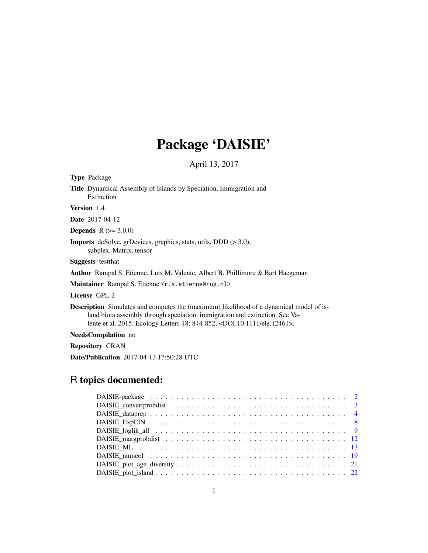# Package 'DAISIE'

April 13, 2017

<span id="page-0-0"></span>

| <b>Type Package</b>                                                                                                                                                                                                                                                        |
|----------------------------------------------------------------------------------------------------------------------------------------------------------------------------------------------------------------------------------------------------------------------------|
| Title Dynamical Assembly of Islands by Speciation, Immigration and<br>Extinction                                                                                                                                                                                           |
| <b>Version</b> 1.4                                                                                                                                                                                                                                                         |
| <b>Date</b> 2017-04-12                                                                                                                                                                                                                                                     |
| <b>Depends</b> $R (= 3.0.0)$                                                                                                                                                                                                                                               |
| <b>Imports</b> deSolve, grDevices, graphics, stats, utils, DDD $(>3.0)$ ,<br>subplex, Matrix, tensor                                                                                                                                                                       |
| <b>Suggests</b> testthat                                                                                                                                                                                                                                                   |
| <b>Author</b> Rampal S. Etienne, Luis M. Valente, Albert B. Phillimore & Bart Haegeman                                                                                                                                                                                     |
| M <b>aintainer</b> Rampal S. Etienne <r.s.etienne@rug.nl></r.s.etienne@rug.nl>                                                                                                                                                                                             |
| License GPL-2                                                                                                                                                                                                                                                              |
| <b>Description</b> Simulates and computes the (maximum) likelihood of a dynamical model of is-<br>land biota assembly through speciation, immigration and extinction. See Va-<br>lente et al. 2015. Ecology Letters 18: 844-852, <doi:10.1111 ele.12461="">.</doi:10.1111> |
| <b>NeedsCompilation</b> no                                                                                                                                                                                                                                                 |
| <b>Repository CRAN</b>                                                                                                                                                                                                                                                     |
| <b>Date/Publication</b> 2017-04-13 17:50:28 UTC                                                                                                                                                                                                                            |

# R topics documented: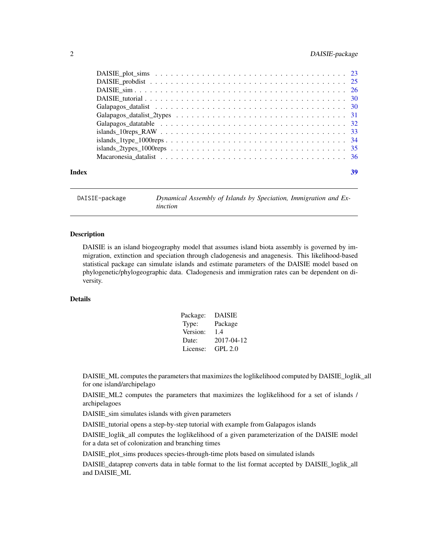# <span id="page-1-0"></span>2 DAISIE-package

| Index | 39 |
|-------|----|
|       |    |

DAISIE-package *Dynamical Assembly of Islands by Speciation, Immigration and Extinction*

# Description

DAISIE is an island biogeography model that assumes island biota assembly is governed by immigration, extinction and speciation through cladogenesis and anagenesis. This likelihood-based statistical package can simulate islands and estimate parameters of the DAISIE model based on phylogenetic/phylogeographic data. Cladogenesis and immigration rates can be dependent on diversity.

# Details

| Package: | DAISIE         |
|----------|----------------|
| Type:    | Package        |
| Version: | 1.4            |
| Date:    | 2017-04-12     |
| License: | <b>GPL 2.0</b> |

DAISIE\_ML computes the parameters that maximizes the loglikelihood computed by DAISIE\_loglik\_all for one island/archipelago

DAISIE\_ML2 computes the parameters that maximizes the loglikelihood for a set of islands / archipelagoes

DAISIE\_sim simulates islands with given parameters

DAISIE\_tutorial opens a step-by-step tutorial with example from Galapagos islands

DAISIE\_loglik\_all computes the loglikelihood of a given parameterization of the DAISIE model for a data set of colonization and branching times

DAISIE\_plot\_sims produces species-through-time plots based on simulated islands

DAISIE\_dataprep converts data in table format to the list format accepted by DAISIE\_loglik\_all and DAISIE\_ML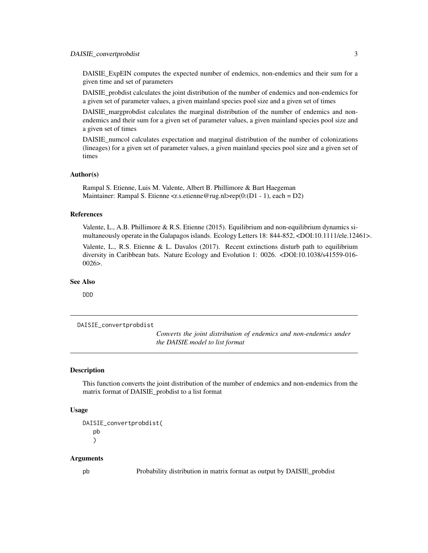# <span id="page-2-0"></span>DAISIE\_convertprobdist 3

DAISIE\_ExpEIN computes the expected number of endemics, non-endemics and their sum for a given time and set of parameters

DAISIE\_probdist calculates the joint distribution of the number of endemics and non-endemics for a given set of parameter values, a given mainland species pool size and a given set of times

DAISIE\_margprobdist calculates the marginal distribution of the number of endemics and nonendemics and their sum for a given set of parameter values, a given mainland species pool size and a given set of times

DAISIE numcol calculates expectation and marginal distribution of the number of colonizations (lineages) for a given set of parameter values, a given mainland species pool size and a given set of times

#### Author(s)

Rampal S. Etienne, Luis M. Valente, Albert B. Phillimore & Bart Haegeman Maintainer: Rampal S. Etienne <rs.etienne@rug.nl>rep(0:(D1 - 1), each = D2)

# References

Valente, L., A.B. Phillimore & R.S. Etienne (2015). Equilibrium and non-equilibrium dynamics simultaneously operate in the Galapagos islands. Ecology Letters 18: 844-852, <DOI:10.1111/ele.12461>.

Valente, L., R.S. Etienne & L. Davalos (2017). Recent extinctions disturb path to equilibrium diversity in Caribbean bats. Nature Ecology and Evolution 1: 0026. <DOI:10.1038/s41559-016-  $0026$ .

#### See Also

DDD

DAISIE\_convertprobdist

*Converts the joint distribution of endemics and non-endemics under the DAISIE model to list format*

#### Description

This function converts the joint distribution of the number of endemics and non-endemics from the matrix format of DAISIE\_probdist to a list format

#### Usage

```
DAISIE_convertprobdist(
   pb
   \lambda
```
#### Arguments

pb Probability distribution in matrix format as output by DAISIE\_probdist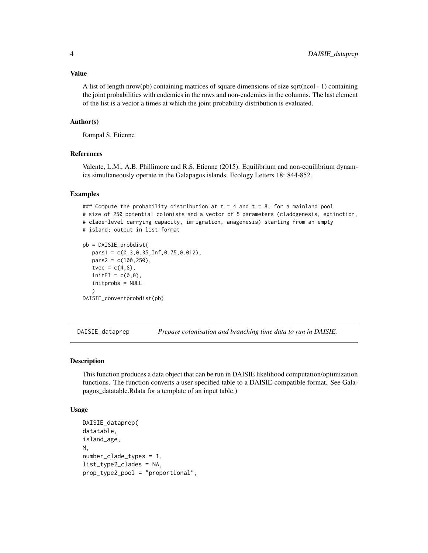<span id="page-3-0"></span>A list of length nrow(pb) containing matrices of square dimensions of size sqrt(ncol  $-1$ ) containing the joint probabilities with endemics in the rows and non-endemics in the columns. The last element of the list is a vector a times at which the joint probability distribution is evaluated.

#### Author(s)

Rampal S. Etienne

# References

Valente, L.M., A.B. Phillimore and R.S. Etienne (2015). Equilibrium and non-equilibrium dynamics simultaneously operate in the Galapagos islands. Ecology Letters 18: 844-852.

#### Examples

```
### Compute the probability distribution at t = 4 and t = 8, for a mainland pool
# size of 250 potential colonists and a vector of 5 parameters (cladogenesis, extinction,
# clade-level carrying capacity, immigration, anagenesis) starting from an empty
# island; output in list format
pb = DAISIE_probdist(
  pars1 = c(0.3,0.35,Inf,0.75,0.012),
  pars2 = c(100, 250),tvec = c(4,8),
  initEI = c(0,0),
  initprobs = NULL
  \lambdaDAISIE_convertprobdist(pb)
```
<span id="page-3-1"></span>DAISIE\_dataprep *Prepare colonisation and branching time data to run in DAISIE.*

#### Description

This function produces a data object that can be run in DAISIE likelihood computation/optimization functions. The function converts a user-specified table to a DAISIE-compatible format. See Galapagos\_datatable.Rdata for a template of an input table.)

#### Usage

```
DAISIE_dataprep(
datatable,
island_age,
M,
number_clade_types = 1,
list_type2_clades = NA,
prop_type2_pool = "proportional",
```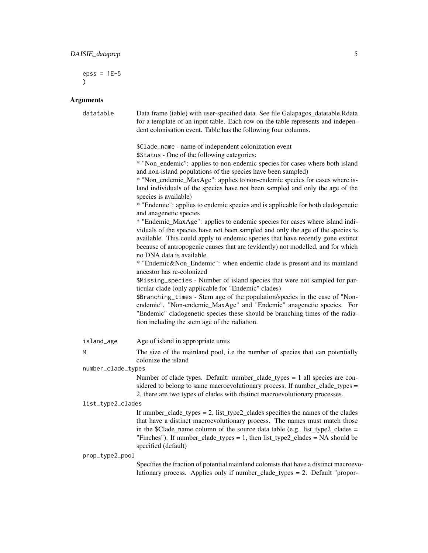$epss = 1E-5$ )

# Arguments

| datatable          | Data frame (table) with user-specified data. See file Galapagos_datatable.Rdata<br>for a template of an input table. Each row on the table represents and indepen-<br>dent colonisation event. Table has the following four columns.                                                                                                                             |
|--------------------|------------------------------------------------------------------------------------------------------------------------------------------------------------------------------------------------------------------------------------------------------------------------------------------------------------------------------------------------------------------|
|                    | \$Clade_name - name of independent colonization event<br>\$Status - One of the following categories:<br>* "Non_endemic": applies to non-endemic species for cases where both island                                                                                                                                                                              |
|                    | and non-island populations of the species have been sampled)                                                                                                                                                                                                                                                                                                     |
|                    | * "Non_endemic_MaxAge": applies to non-endemic species for cases where is-<br>land individuals of the species have not been sampled and only the age of the                                                                                                                                                                                                      |
|                    | species is available)<br>* "Endemic": applies to endemic species and is applicable for both cladogenetic<br>and anagenetic species                                                                                                                                                                                                                               |
|                    | * "Endemic_MaxAge": applies to endemic species for cases where island indi-<br>viduals of the species have not been sampled and only the age of the species is<br>available. This could apply to endemic species that have recently gone extinct<br>because of antropogenic causes that are (evidently) not modelled, and for which<br>no DNA data is available. |
|                    | * "Endemic&Non_Endemic": when endemic clade is present and its mainland<br>ancestor has re-colonized                                                                                                                                                                                                                                                             |
|                    | \$Missing_species - Number of island species that were not sampled for par-<br>ticular clade (only applicable for "Endemic" clades)                                                                                                                                                                                                                              |
|                    | \$Branching_times - Stem age of the population/species in the case of "Non-<br>endemic", "Non-endemic_MaxAge" and "Endemic" anagenetic species. For<br>"Endemic" cladogenetic species these should be branching times of the radia-<br>tion including the stem age of the radiation.                                                                             |
| island_age         | Age of island in appropriate units                                                                                                                                                                                                                                                                                                                               |
| M                  | The size of the mainland pool, i.e the number of species that can potentially<br>colonize the island                                                                                                                                                                                                                                                             |
| number_clade_types |                                                                                                                                                                                                                                                                                                                                                                  |
|                    | Number of clade types. Default: number_clade_types = 1 all species are con-<br>sidered to belong to same macroevolutionary process. If number_clade_types =<br>2, there are two types of clades with distinct macroevolutionary processes.                                                                                                                       |
| list_type2_clades  |                                                                                                                                                                                                                                                                                                                                                                  |
|                    | If number_clade_types = 2, list_type2_clades specifies the names of the clades<br>that have a distinct macroevolutionary process. The names must match those<br>in the \$Clade_name column of the source data table (e.g. list_type2_clades =<br>"Finches"). If number_clade_types = 1, then $list_type2$ _clades = NA should be<br>specified (default)          |
| prop_type2_pool    |                                                                                                                                                                                                                                                                                                                                                                  |
|                    | Specifies the fraction of potential mainland colonists that have a distinct macroevo-<br>lutionary process. Applies only if number_clade_types = 2. Default "propor-                                                                                                                                                                                             |
|                    |                                                                                                                                                                                                                                                                                                                                                                  |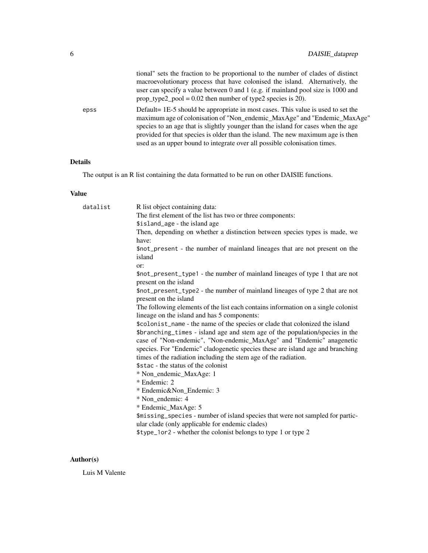|      | tional" sets the fraction to be proportional to the number of clades of distinct<br>macroevolutionary process that have colonised the island. Alternatively, the<br>user can specify a value between 0 and 1 (e.g. if mainland pool size is 1000 and<br>prop_type2_pool = $0.02$ then number of type2 species is 20).                                                                                              |
|------|--------------------------------------------------------------------------------------------------------------------------------------------------------------------------------------------------------------------------------------------------------------------------------------------------------------------------------------------------------------------------------------------------------------------|
| epss | Default = 1E-5 should be appropriate in most cases. This value is used to set the<br>maximum age of colonisation of "Non_endemic_MaxAge" and "Endemic_MaxAge"<br>species to an age that is slightly younger than the island for cases when the age<br>provided for that species is older than the island. The new maximum age is then<br>used as an upper bound to integrate over all possible colonisation times. |

# Details

The output is an R list containing the data formatted to be run on other DAISIE functions.

# Value

| datalist | R list object containing data:                                                                                                   |
|----------|----------------------------------------------------------------------------------------------------------------------------------|
|          | The first element of the list has two or three components:                                                                       |
|          | \$island_age - the island age                                                                                                    |
|          | Then, depending on whether a distinction between species types is made, we                                                       |
|          | have:                                                                                                                            |
|          | \$not_present - the number of mainland lineages that are not present on the                                                      |
|          | island                                                                                                                           |
|          | or:                                                                                                                              |
|          | \$not_present_type1 - the number of mainland lineages of type 1 that are not<br>present on the island                            |
|          | \$not_present_type2 - the number of mainland lineages of type 2 that are not<br>present on the island                            |
|          | The following elements of the list each contains information on a single colonist<br>lineage on the island and has 5 components: |
|          | \$colonist_name - the name of the species or clade that colonized the island                                                     |
|          | \$branching_times - island age and stem age of the population/species in the                                                     |
|          | case of "Non-endemic", "Non-endemic_MaxAge" and "Endemic" anagenetic                                                             |
|          | species. For "Endemic" cladogenetic species these are island age and branching                                                   |
|          | times of the radiation including the stem age of the radiation.                                                                  |
|          | \$stac - the status of the colonist                                                                                              |
|          | * Non_endemic_MaxAge: 1                                                                                                          |
|          | * Endemic: 2                                                                                                                     |
|          | * Endemic&Non_Endemic: 3                                                                                                         |
|          | * Non endemic: 4                                                                                                                 |
|          | * Endemic_MaxAge: 5                                                                                                              |
|          | \$missing_species - number of island species that were not sampled for partic-                                                   |
|          | ular clade (only applicable for endemic clades)                                                                                  |
|          | \$type_1or2 - whether the colonist belongs to type 1 or type 2                                                                   |
|          |                                                                                                                                  |

# Author(s)

Luis M Valente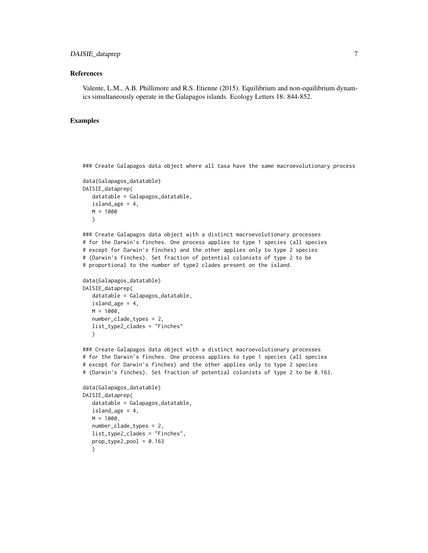#### References

Valente, L.M., A.B. Phillimore and R.S. Etienne (2015). Equilibrium and non-equilibrium dynamics simultaneously operate in the Galapagos islands. Ecology Letters 18: 844-852.

#### Examples

### Create Galapagos data object where all taxa have the same macroevolutionary process

```
data(Galapagos_datatable)
DAISIE_dataprep(
  datatable = Galapagos_datatable,
  island_age = 4,
  M = 1000)
```
### Create Galapagos data object with a distinct macroevolutionary processes # for the Darwin's finches. One process applies to type 1 species (all species # except for Darwin's finches) and the other applies only to type 2 species # (Darwin's finches). Set fraction of potential colonists of type 2 to be # proportional to the number of type2 clades present on the island.

```
data(Galapagos_datatable)
DAISIE_dataprep(
  datatable = Galapagos_datatable,
  island_age = 4,M = 1000,number_clade_types = 2,
  list_type2_clades = "Finches"
  \lambda
```
### Create Galapagos data object with a distinct macroevolutionary processes # for the Darwin's finches. One process applies to type 1 species (all species # except for Darwin's finches) and the other applies only to type 2 species # (Darwin's finches). Set fraction of potential colonists of type 2 to be 0.163.

```
data(Galapagos_datatable)
DAISIE_dataprep(
  datatable = Galapagos_datatable,
  island_age = 4,
  M = 1000,number_clade_types = 2,
  list_type2_clades = "Finches",
  prop_type2_pool = 0.163)
```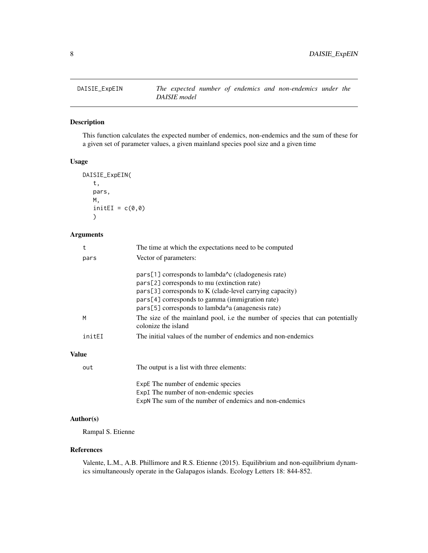<span id="page-7-0"></span>

# Description

This function calculates the expected number of endemics, non-endemics and the sum of these for a given set of parameter values, a given mainland species pool size and a given time

# Usage

```
DAISIE_ExpEIN(
   t,
   pars,
   M,
   initEI = c(0,0))
```
# Arguments

|        | The time at which the expectations need to be computed                                                                                                                                                                                                                                                             |
|--------|--------------------------------------------------------------------------------------------------------------------------------------------------------------------------------------------------------------------------------------------------------------------------------------------------------------------|
| pars   | Vector of parameters:                                                                                                                                                                                                                                                                                              |
|        | pars[1] corresponds to lambda <sup><math>\lambda</math></sup> c (cladogenesis rate)<br>pars[2] corresponds to mu (extinction rate)<br>$pars[3]$ corresponds to K (clade-level carrying capacity)<br>pars[4] corresponds to gamma (immigration rate)<br>$pars[5]$ corresponds to lambda $\land a$ (anagenesis rate) |
| M      | The size of the mainland pool, i.e the number of species that can potentially<br>colonize the island                                                                                                                                                                                                               |
| initEI | The initial values of the number of endemics and non-endemics                                                                                                                                                                                                                                                      |
| lue    |                                                                                                                                                                                                                                                                                                                    |

# Val

| out | The output is a list with three elements:                                                                                               |
|-----|-----------------------------------------------------------------------------------------------------------------------------------------|
|     | ExpE The number of endemic species<br>ExpI The number of non-endemic species<br>ExpN The sum of the number of endemics and non-endemics |

# Author(s)

Rampal S. Etienne

# References

Valente, L.M., A.B. Phillimore and R.S. Etienne (2015). Equilibrium and non-equilibrium dynamics simultaneously operate in the Galapagos islands. Ecology Letters 18: 844-852.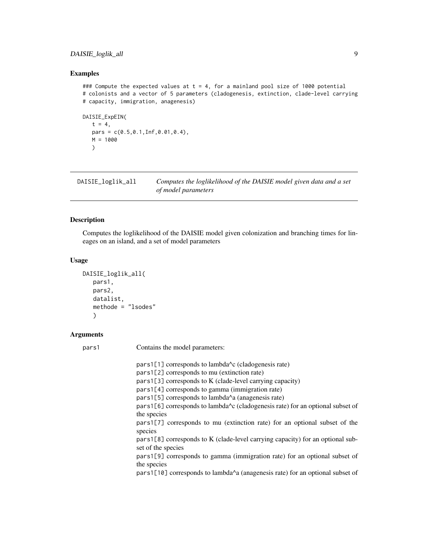# <span id="page-8-0"></span>DAISIE\_loglik\_all 9

# Examples

### Compute the expected values at  $t = 4$ , for a mainland pool size of 1000 potential # colonists and a vector of 5 parameters (cladogenesis, extinction, clade-level carrying # capacity, immigration, anagenesis)

```
DAISIE_ExpEIN(
   t = 4,
   pars = c(0.5, 0.1, Inf, 0.01, 0.4),M = 1000
   \lambda
```
<span id="page-8-1"></span>DAISIE\_loglik\_all *Computes the loglikelihood of the DAISIE model given data and a set of model parameters*

# Description

Computes the loglikelihood of the DAISIE model given colonization and branching times for lineages on an island, and a set of model parameters

# Usage

```
DAISIE_loglik_all(
   pars1,
   pars2,
   datalist,
   methode = "lsodes"
   \lambda
```
# Arguments

pars1 Contains the model parameters:

| pars1[1] corresponds to lambda <sup><math>\lambda</math></sup> c (cladogenesis rate)                           |
|----------------------------------------------------------------------------------------------------------------|
| pars1[2] corresponds to mu (extinction rate)                                                                   |
| $pars1[3]$ corresponds to K (clade-level carrying capacity)                                                    |
| pars1[4] corresponds to gamma (immigration rate)                                                               |
| pars1[5] corresponds to lambda^a (anagenesis rate)                                                             |
| pars1[6] corresponds to lambda <sup><math>\lambda</math></sup> c (cladogenesis rate) for an optional subset of |
| the species                                                                                                    |
| pars1[7] corresponds to mu (extinction rate) for an optional subset of the                                     |
| species                                                                                                        |
| pars1[8] corresponds to K (clade-level carrying capacity) for an optional sub-<br>set of the species           |
| pars1[9] corresponds to gamma (immigration rate) for an optional subset of                                     |
| the species                                                                                                    |
| pars1[10] corresponds to lambda <sup><math>\wedge</math></sup> a (anagenesis rate) for an optional subset of   |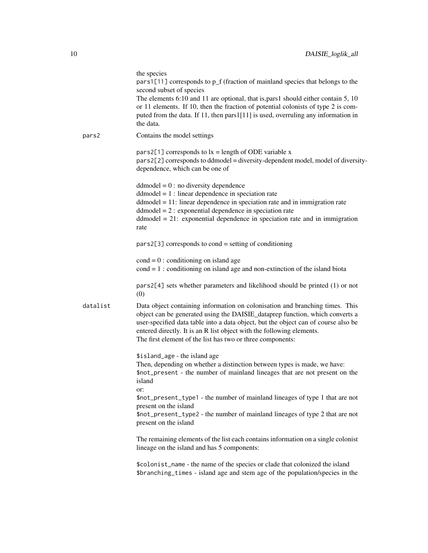|          | the species<br>pars1[11] corresponds to p_f (fraction of mainland species that belongs to the<br>second subset of species<br>The elements 6:10 and 11 are optional, that is, pars 1 should either contain 5, 10<br>or 11 elements. If 10, then the fraction of potential colonists of type 2 is com-<br>puted from the data. If 11, then pars1[11] is used, overruling any information in<br>the data. |
|----------|--------------------------------------------------------------------------------------------------------------------------------------------------------------------------------------------------------------------------------------------------------------------------------------------------------------------------------------------------------------------------------------------------------|
| pars2    | Contains the model settings                                                                                                                                                                                                                                                                                                                                                                            |
|          | $pars2[1]$ corresponds to $lx = length$ of ODE variable x<br>pars2[2] corresponds to ddmodel = diversity-dependent model, model of diversity-<br>dependence, which can be one of                                                                                                                                                                                                                       |
|          | $dd model = 0$ : no diversity dependence<br>$dd model = 1$ : linear dependence in speciation rate<br>$dd_{model} = 11$ : linear dependence in speciation rate and in immigration rate<br>$dd model = 2$ : exponential dependence in speciation rate<br>$dd model = 21$ : exponential dependence in speciation rate and in immigration<br>rate                                                          |
|          | $pars2[3]$ corresponds to cond = setting of conditioning                                                                                                                                                                                                                                                                                                                                               |
|          | $\text{cond} = 0$ : conditioning on island age<br>$cond = 1$ : conditioning on island age and non-extinction of the island biota                                                                                                                                                                                                                                                                       |
|          | $pars2[4]$ sets whether parameters and likelihood should be printed $(1)$ or not<br>(0)                                                                                                                                                                                                                                                                                                                |
| datalist | Data object containing information on colonisation and branching times. This<br>object can be generated using the DAISIE_dataprep function, which converts a<br>user-specified data table into a data object, but the object can of course also be<br>entered directly. It is an R list object with the following elements.<br>The first element of the list has two or three components:              |
|          | \$island_age - the island age<br>Then, depending on whether a distinction between types is made, we have:<br>\$not_present - the number of mainland lineages that are not present on the<br>island<br>or:                                                                                                                                                                                              |
|          | \$not_present_type1 - the number of mainland lineages of type 1 that are not                                                                                                                                                                                                                                                                                                                           |
|          | present on the island<br>\$not_present_type2 - the number of mainland lineages of type 2 that are not<br>present on the island                                                                                                                                                                                                                                                                         |
|          | The remaining elements of the list each contains information on a single colonist<br>lineage on the island and has 5 components:                                                                                                                                                                                                                                                                       |
|          | \$colonist_name - the name of the species or clade that colonized the island<br>\$branching_times - island age and stem age of the population/species in the                                                                                                                                                                                                                                           |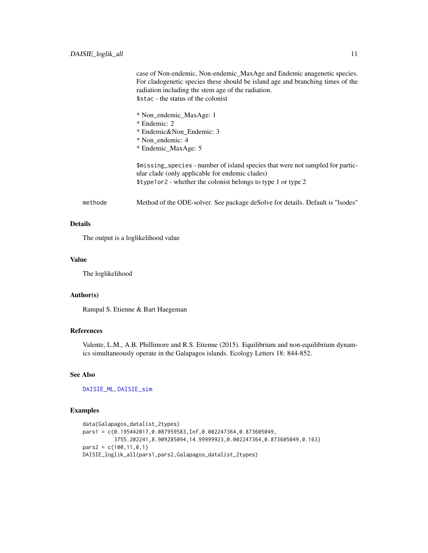<span id="page-10-0"></span>

|         | case of Non-endemic, Non-endemic_MaxAge and Endemic anagenetic species.<br>For cladogenetic species these should be island age and branching times of the<br>radiation including the stem age of the radiation.<br>\$stac - the status of the colonist |
|---------|--------------------------------------------------------------------------------------------------------------------------------------------------------------------------------------------------------------------------------------------------------|
|         | * Non endemic MaxAge: 1<br>* Endemic: 2                                                                                                                                                                                                                |
|         | * Endemic&Non_Endemic: 3                                                                                                                                                                                                                               |
|         | * Non_endemic: 4                                                                                                                                                                                                                                       |
|         | * Endemic_MaxAge: 5                                                                                                                                                                                                                                    |
|         | \$missing_species - number of island species that were not sampled for partic-<br>ular clade (only applicable for endemic clades)<br>\$type1or2 - whether the colonist belongs to type 1 or type 2                                                     |
| methode | Method of the ODE-solver. See package deSolve for details. Default is "lsodes"                                                                                                                                                                         |

# Details

The output is a loglikelihood value

#### Value

The loglikelihood

# Author(s)

Rampal S. Etienne & Bart Haegeman

# References

Valente, L.M., A.B. Phillimore and R.S. Etienne (2015). Equilibrium and non-equilibrium dynamics simultaneously operate in the Galapagos islands. Ecology Letters 18: 844-852.

# See Also

[DAISIE\\_ML](#page-12-1), [DAISIE\\_sim](#page-25-1)

# Examples

```
data(Galapagos_datalist_2types)
pars1 = c(0.195442017,0.087959583,Inf,0.002247364,0.873605049,
          3755.202241,8.909285094,14.99999923,0.002247364,0.873605049,0.163)
pars2 = c(100, 11, 0, 1)DAISIE_loglik_all(pars1,pars2,Galapagos_datalist_2types)
```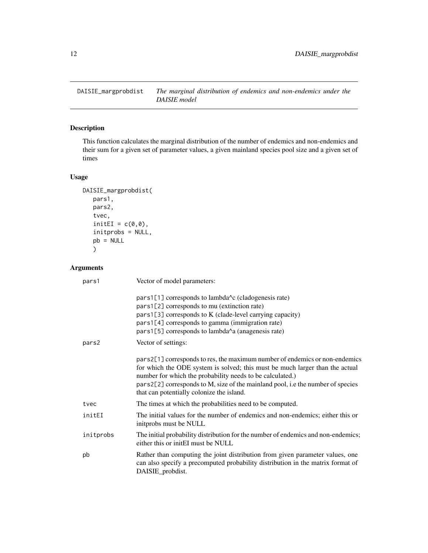<span id="page-11-0"></span>DAISIE\_margprobdist *The marginal distribution of endemics and non-endemics under the DAISIE model*

# Description

This function calculates the marginal distribution of the number of endemics and non-endemics and their sum for a given set of parameter values, a given mainland species pool size and a given set of times

# Usage

```
DAISIE_margprobdist(
   pars1,
   pars2,
   tvec,
   initEI = c(0,0),
   initprobs = NULL,
   pb = NULL)
```
# Arguments

| pars1     | Vector of model parameters:                                                                                                                                                                                                                                                                                                                              |
|-----------|----------------------------------------------------------------------------------------------------------------------------------------------------------------------------------------------------------------------------------------------------------------------------------------------------------------------------------------------------------|
|           | pars1[1] corresponds to lambda <sup><math>\wedge</math></sup> c (cladogenesis rate)<br>pars1[2] corresponds to mu (extinction rate)<br>pars1[3] corresponds to K (clade-level carrying capacity)<br>pars1[4] corresponds to gamma (immigration rate)<br>pars1[5] corresponds to lambda^a (anagenesis rate)                                               |
| pars2     | Vector of settings:                                                                                                                                                                                                                                                                                                                                      |
|           | pars2[1] corresponds to res, the maximum number of endemics or non-endemics<br>for which the ODE system is solved; this must be much larger than the actual<br>number for which the probability needs to be calculated.)<br>pars2[2] corresponds to M, size of the mainland pool, i.e the number of species<br>that can potentially colonize the island. |
| tvec      | The times at which the probabilities need to be computed.                                                                                                                                                                                                                                                                                                |
| initEI    | The initial values for the number of endemics and non-endemics; either this or<br>initprobs must be NULL                                                                                                                                                                                                                                                 |
| initprobs | The initial probability distribution for the number of endemics and non-endemics;<br>either this or initEI must be NULL                                                                                                                                                                                                                                  |
| pb        | Rather than computing the joint distribution from given parameter values, one<br>can also specify a precomputed probability distribution in the matrix format of<br>DAISIE_probdist.                                                                                                                                                                     |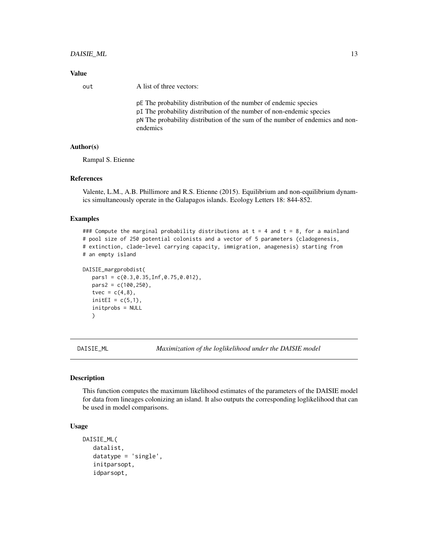# <span id="page-12-0"></span>DAISIE\_ML 13

### Value

out A list of three vectors:

pE The probability distribution of the number of endemic species pI The probability distribution of the number of non-endemic species pN The probability distribution of the sum of the number of endemics and nonendemics

## Author(s)

Rampal S. Etienne

#### References

Valente, L.M., A.B. Phillimore and R.S. Etienne (2015). Equilibrium and non-equilibrium dynamics simultaneously operate in the Galapagos islands. Ecology Letters 18: 844-852.

#### Examples

```
### Compute the marginal probability distributions at t = 4 and t = 8, for a mainland
# pool size of 250 potential colonists and a vector of 5 parameters (cladogenesis,
# extinction, clade-level carrying capacity, immigration, anagenesis) starting from
# an empty island
```

```
DAISIE_margprobdist(
  pars1 = c(0.3,0.35,Inf,0.75,0.012),
  pars2 = c(100, 250),
  tvec = c(4,8),
  initEI = c(5,1),
  initprobs = NULL
  )
```
<span id="page-12-1"></span>DAISIE\_ML *Maximization of the loglikelihood under the DAISIE model*

#### Description

This function computes the maximum likelihood estimates of the parameters of the DAISIE model for data from lineages colonizing an island. It also outputs the corresponding loglikelihood that can be used in model comparisons.

#### Usage

```
DAISIE_ML(
   datalist,
   datatype = 'single',
   initparsopt,
   idparsopt,
```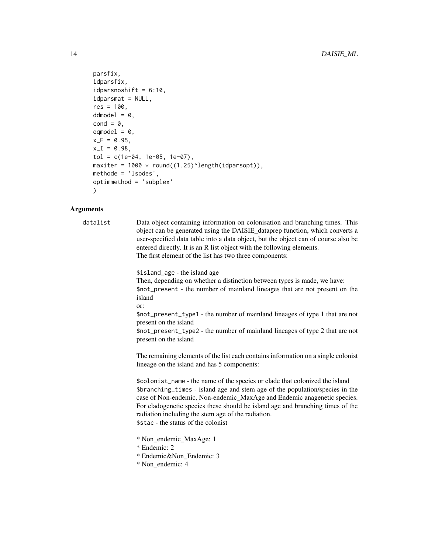```
parsfix,
idparsfix,
idparsnoshift = 6:10,
idparam<sub>1</sub> = NULL,res = 100,
ddmodel = 0,
cond = 0,
eqmodel = 0,
x_{-E} = 0.95,
x_I = 0.98,
tol = c(1e-04, 1e-05, 1e-07),
maxiter = 1000 * \text{round}((1.25)^{\text{length}}(idparsept)),methode = 'lsodes',
optimmethod = 'subplex'
)
```
#### Arguments

datalist Data object containing information on colonisation and branching times. This object can be generated using the DAISIE\_dataprep function, which converts a user-specified data table into a data object, but the object can of course also be entered directly. It is an R list object with the following elements. The first element of the list has two three components:

> \$island\_age - the island age Then, depending on whether a distinction between types is made, we have: \$not\_present - the number of mainland lineages that are not present on the island or: \$not\_present\_type1 - the number of mainland lineages of type 1 that are not present on the island \$not\_present\_type2 - the number of mainland lineages of type 2 that are not present on the island

> The remaining elements of the list each contains information on a single colonist lineage on the island and has 5 components:

> \$colonist\_name - the name of the species or clade that colonized the island \$branching\_times - island age and stem age of the population/species in the case of Non-endemic, Non-endemic\_MaxAge and Endemic anagenetic species. For cladogenetic species these should be island age and branching times of the radiation including the stem age of the radiation. \$stac - the status of the colonist

- \* Non\_endemic\_MaxAge: 1
- \* Endemic: 2
- \* Endemic&Non\_Endemic: 3
- \* Non\_endemic: 4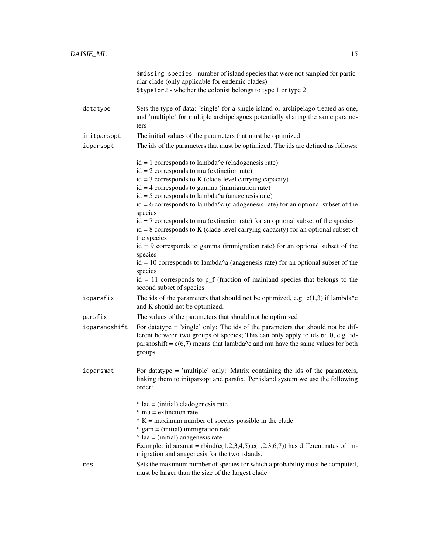|               | \$missing_species - number of island species that were not sampled for partic-<br>ular clade (only applicable for endemic clades)                                                                                                                                                              |
|---------------|------------------------------------------------------------------------------------------------------------------------------------------------------------------------------------------------------------------------------------------------------------------------------------------------|
|               | \$type1or2 - whether the colonist belongs to type 1 or type 2                                                                                                                                                                                                                                  |
| datatype      | Sets the type of data: 'single' for a single island or archipelago treated as one,<br>and 'multiple' for multiple archipelagoes potentially sharing the same parame-<br>ters                                                                                                                   |
| initparsopt   | The initial values of the parameters that must be optimized                                                                                                                                                                                                                                    |
| idparsopt     | The ids of the parameters that must be optimized. The ids are defined as follows:                                                                                                                                                                                                              |
|               | $id = 1$ corresponds to lambda <sup><math>\wedge</math></sup> c (cladogenesis rate)                                                                                                                                                                                                            |
|               | $id = 2$ corresponds to mu (extinction rate)<br>$id = 3$ corresponds to K (clade-level carrying capacity)                                                                                                                                                                                      |
|               | $id = 4$ corresponds to gamma (immigration rate)                                                                                                                                                                                                                                               |
|               | $id = 5$ corresponds to lambda <sup><math>\wedge</math></sup> a (anagenesis rate)                                                                                                                                                                                                              |
|               | $id = 6$ corresponds to lambda <sup><math>\lambda</math></sup> c (cladogenesis rate) for an optional subset of the                                                                                                                                                                             |
|               | species                                                                                                                                                                                                                                                                                        |
|               | $id = 7$ corresponds to mu (extinction rate) for an optional subset of the species<br>$id = 8$ corresponds to K (clade-level carrying capacity) for an optional subset of<br>the species                                                                                                       |
|               | $id = 9$ corresponds to gamma (immigration rate) for an optional subset of the<br>species                                                                                                                                                                                                      |
|               | $id = 10$ corresponds to lambda <sup><math>\wedge</math></sup> a (anagenesis rate) for an optional subset of the<br>species                                                                                                                                                                    |
|               | $id = 11$ corresponds to $p_f$ (fraction of mainland species that belongs to the<br>second subset of species                                                                                                                                                                                   |
| idparsfix     | The ids of the parameters that should not be optimized, e.g. $c(1,3)$ if lambda <sup><math>\lambda</math></sup> c<br>and K should not be optimized.                                                                                                                                            |
| parsfix       | The values of the parameters that should not be optimized                                                                                                                                                                                                                                      |
| idparsnoshift | For datatype = 'single' only: The ids of the parameters that should not be dif-<br>ferent between two groups of species; This can only apply to ids 6:10, e.g. id-<br>parsnoshift = $c(6,7)$ means that lambda <sup><math>\wedge</math></sup> c and mu have the same values for both<br>groups |
| idparsmat     | For datatype = 'multiple' only: Matrix containing the ids of the parameters,<br>linking them to initparsopt and parsfix. Per island system we use the following<br>order:                                                                                                                      |
|               | $*$ lac = (initial) cladogenesis rate                                                                                                                                                                                                                                                          |
|               | $*$ mu = extinction rate                                                                                                                                                                                                                                                                       |
|               | $* K =$ maximum number of species possible in the clade<br>$*$ gam = (initial) immigration rate                                                                                                                                                                                                |
|               | $*$ laa = (initial) anagenesis rate                                                                                                                                                                                                                                                            |
|               | Example: idparsmat = rbind(c(1,2,3,4,5),c(1,2,3,6,7)) has different rates of im-<br>migration and anagenesis for the two islands.                                                                                                                                                              |
| res           | Sets the maximum number of species for which a probability must be computed,<br>must be larger than the size of the largest clade                                                                                                                                                              |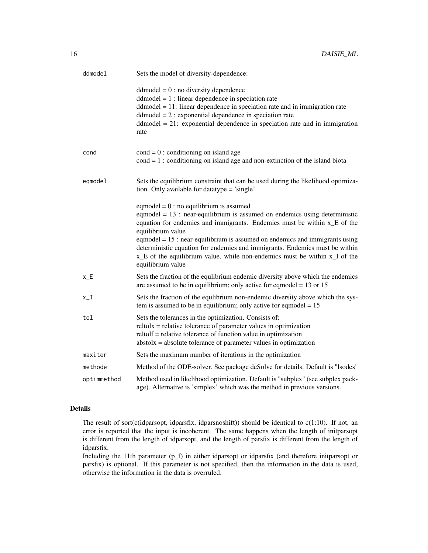| ddmodel           | Sets the model of diversity-dependence:                                                                                                                                                                                                                                                                                                                                                                                                                                                       |
|-------------------|-----------------------------------------------------------------------------------------------------------------------------------------------------------------------------------------------------------------------------------------------------------------------------------------------------------------------------------------------------------------------------------------------------------------------------------------------------------------------------------------------|
|                   | $dd model = 0$ : no diversity dependence<br>$dd model = 1$ : linear dependence in speciation rate<br>$dd_{model} = 11$ : linear dependence in speciation rate and in immigration rate<br>$dd model = 2$ : exponential dependence in speciation rate<br>$dd model = 21$ : exponential dependence in speciation rate and in immigration<br>rate                                                                                                                                                 |
| cond              | $\text{cond} = 0$ : conditioning on island age<br>$\text{cond} = 1$ : conditioning on island age and non-extinction of the island biota                                                                                                                                                                                                                                                                                                                                                       |
| eqmodel           | Sets the equilibrium constraint that can be used during the likelihood optimiza-<br>tion. Only available for datatype = 'single'.                                                                                                                                                                                                                                                                                                                                                             |
|                   | eqmodel = $0$ : no equilibrium is assumed<br>eqmodel $= 13$ : near-equilibrium is assumed on endemics using deterministic<br>equation for endemics and immigrants. Endemics must be within x_E of the<br>equilibrium value<br>eqmodel = $15$ : near-equilibrium is assumed on endemics and immigrants using<br>deterministic equation for endemics and immigrants. Endemics must be within<br>x_E of the equilibrium value, while non-endemics must be within x_I of the<br>equilibrium value |
| $x$ <sub>-E</sub> | Sets the fraction of the equlibrium endemic diversity above which the endemics<br>are assumed to be in equilibrium; only active for eqmodel = $13$ or $15$                                                                                                                                                                                                                                                                                                                                    |
| $x_{-}I$          | Sets the fraction of the equlibrium non-endemic diversity above which the sys-<br>tem is assumed to be in equilibrium; only active for eqmodel $= 15$                                                                                                                                                                                                                                                                                                                                         |
| tol               | Sets the tolerances in the optimization. Consists of:<br>$relto1x = relative tolerance of parameter values in optimization$<br>reltolf = relative tolerance of function value in optimization<br>$abstolx = absolute tolerance of parameter values in optimization$                                                                                                                                                                                                                           |
| maxiter           | Sets the maximum number of iterations in the optimization                                                                                                                                                                                                                                                                                                                                                                                                                                     |
| methode           | Method of the ODE-solver. See package deSolve for details. Default is "lsodes"                                                                                                                                                                                                                                                                                                                                                                                                                |
| optimmethod       | Method used in likelihood optimization. Default is "subplex" (see subplex pack-<br>age). Alternative is 'simplex' which was the method in previous versions.                                                                                                                                                                                                                                                                                                                                  |

# Details

The result of sort(c(idparsopt, idparsfix, idparsnoshift)) should be identical to  $c(1:10)$ . If not, an error is reported that the input is incoherent. The same happens when the length of initparsopt is different from the length of idparsopt, and the length of parsfix is different from the length of idparsfix.

Including the 11th parameter (p\_f) in either idparsopt or idparsfix (and therefore initparsopt or parsfix) is optional. If this parameter is not specified, then the information in the data is used, otherwise the information in the data is overruled.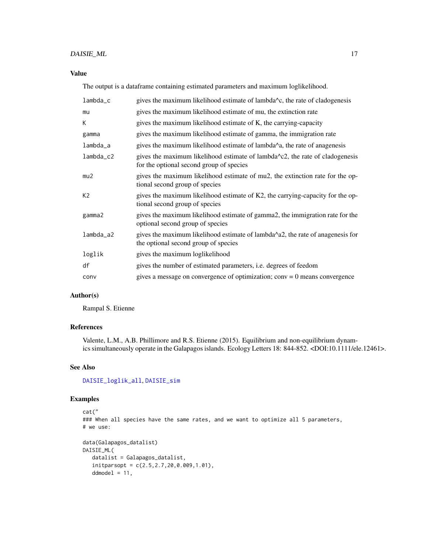# <span id="page-16-0"></span>DAISIE\_ML 17

# Value

The output is a dataframe containing estimated parameters and maximum loglikelihood.

| $lambda_c$     | gives the maximum likelihood estimate of lambda <sup><math>\lambda</math></sup> c, the rate of cladogenesis                     |
|----------------|---------------------------------------------------------------------------------------------------------------------------------|
| mu             | gives the maximum likelihood estimate of mu, the extinction rate                                                                |
| К              | gives the maximum likelihood estimate of K, the carrying-capacity                                                               |
| gamma          | gives the maximum likelihood estimate of gamma, the immigration rate                                                            |
| lambda_a       | gives the maximum likelihood estimate of lambda^a, the rate of anagenesis                                                       |
| lambda_c2      | gives the maximum likelihood estimate of lambda $\sim$ c2, the rate of cladogenesis<br>for the optional second group of species |
| mu2            | gives the maximum likelihood estimate of mu2, the extinction rate for the op-<br>tional second group of species                 |
| K <sub>2</sub> | gives the maximum likelihood estimate of K2, the carrying-capacity for the op-<br>tional second group of species                |
| gamma2         | gives the maximum likelihood estimate of gamma2, the immigration rate for the<br>optional second group of species               |
| $lambda_a2$    | gives the maximum likelihood estimate of lambda^a2, the rate of anagenesis for<br>the optional second group of species          |
| loglik         | gives the maximum loglikelihood                                                                                                 |
| df             | gives the number of estimated parameters, <i>i.e.</i> degrees of feedom                                                         |
| conv           | gives a message on convergence of optimization; $conv = 0$ means convergence                                                    |

# Author(s)

Rampal S. Etienne

# References

Valente, L.M., A.B. Phillimore and R.S. Etienne (2015). Equilibrium and non-equilibrium dynamics simultaneously operate in the Galapagos islands. Ecology Letters 18: 844-852. <DOI:10.1111/ele.12461>.

# See Also

[DAISIE\\_loglik\\_all](#page-8-1), [DAISIE\\_sim](#page-25-1)

# Examples

```
cat("
### When all species have the same rates, and we want to optimize all 5 parameters,
# we use:
data(Galapagos_datalist)
DAISIE_ML(
   datalist = Galapagos_datalist,
   initparsopt = c(2.5, 2.7, 20, 0.009, 1.01),
   ddmodel = 11,
```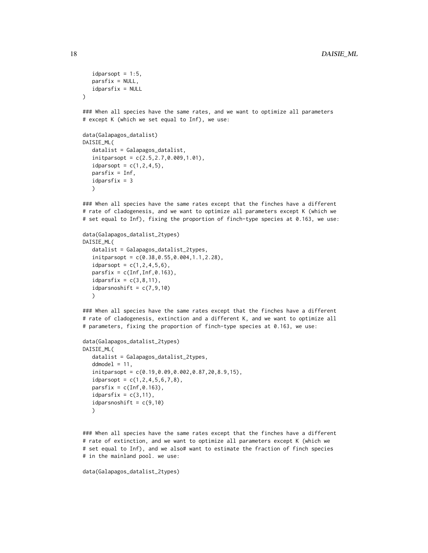```
idparsept = 1:5,
  parsfix = NULL,
   idparsfix = NULL
)
### When all species have the same rates, and we want to optimize all parameters
# except K (which we set equal to Inf), we use:
data(Galapagos_datalist)
DAISIE_ML(
  datalist = Galapagos_datalist,
  initparsopt = c(2.5,2.7,0.009,1.01),
   idparsept = c(1, 2, 4, 5),
  parsfix = Inf,
   idparsfix = 3
  \lambda### When all species have the same rates except that the finches have a different
# rate of cladogenesis, and we want to optimize all parameters except K (which we
# set equal to Inf), fixing the proportion of finch-type species at 0.163, we use:
```

```
data(Galapagos_datalist_2types)
DAISIE_ML(
   datalist = Galapagos_datalist_2types,
   initparsopt = c(0.38,0.55,0.004,1.1,2.28),
   idparsept = c(1, 2, 4, 5, 6),
   partsfix = c(Inf, Inf, 0.163),
   idparsfix = c(3,8,11),
   idparsnoshift = c(7, 9, 10)\lambda
```
### When all species have the same rates except that the finches have a different # rate of cladogenesis, extinction and a different K, and we want to optimize all # parameters, fixing the proportion of finch-type species at 0.163, we use:

```
data(Galapagos_datalist_2types)
DAISIE_ML(
   datalist = Galapagos_datalist_2types,
   ddmodel = 11,
   initparsopt = c(0.19,0.09,0.002,0.87,20,8.9,15),
   idparsopt = c(1, 2, 4, 5, 6, 7, 8),
   partsfix = c(Inf, \emptyset.163),
   idparsfix = c(3,11),
   idparsnoshift = c(9,10)\lambda
```
### When all species have the same rates except that the finches have a different # rate of extinction, and we want to optimize all parameters except K (which we # set equal to Inf), and we also# want to estimate the fraction of finch species # in the mainland pool. we use:

```
data(Galapagos_datalist_2types)
```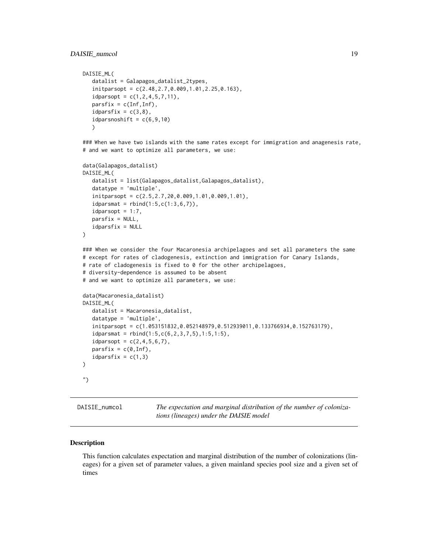# <span id="page-18-0"></span>DAISIE\_numcol 19

```
DAISIE_ML(
   datalist = Galapagos_datalist_2types,
   initparsopt = c(2.48,2.7,0.009,1.01,2.25,0.163),
   idparsopt = c(1, 2, 4, 5, 7, 11),
   partsfix = c(Inf, Inf),idparsfix = c(3,8),
   idparsnoshift = c(6, 9, 10))
```
### When we have two islands with the same rates except for immigration and anagenesis rate, # and we want to optimize all parameters, we use:

```
data(Galapagos_datalist)
DAISIE_ML(
   datalist = list(Galapagos_datalist,Galapagos_datalist),
   datatype = 'multiple',
   initparsopt = c(2.5,2.7,20,0.009,1.01,0.009,1.01),
   idparamat = <math>rbind(1:5, c(1:3, 6, 7))</math>,idparsopt = 1:7,
   parsfix = NULL,
   idparsfix = NULL
\lambda### When we consider the four Macaronesia archipelagoes and set all parameters the same
# except for rates of cladogenesis, extinction and immigration for Canary Islands,
# rate of cladogenesis is fixed to 0 for the other archipelagoes,
```

```
# diversity-dependence is assumed to be absent
# and we want to optimize all parameters, we use:
```

```
data(Macaronesia_datalist)
DAISIE_ML(
  datalist = Macaronesia_datalist,
  datatype = 'multiple',
   initparsopt = c(1.053151832,0.052148979,0.512939011,0.133766934,0.152763179),
   idparamat = rbind(1:5, c(6, 2, 3, 7, 5), 1:5, 1:5),idparsopt = c(2, 4, 5, 6, 7),partsfix = c(0,Inf),idparsfix = c(1,3))
")
```
DAISIE\_numcol *The expectation and marginal distribution of the number of colonizations (lineages) under the DAISIE model*

#### Description

This function calculates expectation and marginal distribution of the number of colonizations (lineages) for a given set of parameter values, a given mainland species pool size and a given set of times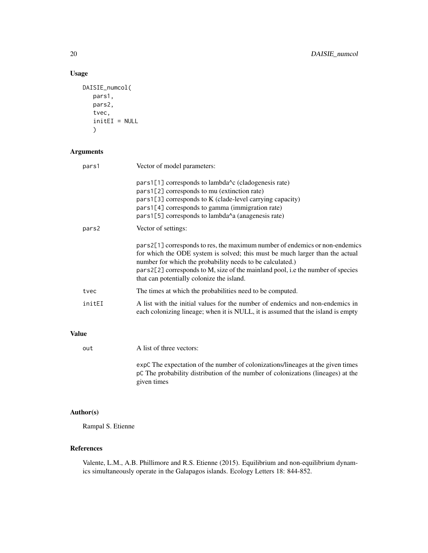# Usage

```
DAISIE_numcol(
   pars1,
   pars2,
   tvec,
   initEI = NULL
   \mathcal{L}
```
# Arguments

| pars1  | Vector of model parameters:                                                                                                                                                                                                                                                                                                                              |
|--------|----------------------------------------------------------------------------------------------------------------------------------------------------------------------------------------------------------------------------------------------------------------------------------------------------------------------------------------------------------|
|        | pars1[1] corresponds to lambda <sup><math>\lambda</math></sup> c (cladogenesis rate)<br>pars1[2] corresponds to mu (extinction rate)<br>$pars1[3]$ corresponds to K (clade-level carrying capacity)<br>pars1[4] corresponds to gamma (immigration rate)<br>pars1[5] corresponds to lambda <sup><math>\lambda</math></sup> a (anagenesis rate)            |
| pars2  | Vector of settings:                                                                                                                                                                                                                                                                                                                                      |
|        | pars2[1] corresponds to res, the maximum number of endemics or non-endemics<br>for which the ODE system is solved; this must be much larger than the actual<br>number for which the probability needs to be calculated.)<br>pars2[2] corresponds to M, size of the mainland pool, i.e the number of species<br>that can potentially colonize the island. |
| tvec   | The times at which the probabilities need to be computed.                                                                                                                                                                                                                                                                                                |
| initEI | A list with the initial values for the number of endemics and non-endemics in<br>each colonizing lineage; when it is NULL, it is assumed that the island is empty                                                                                                                                                                                        |
| Value  |                                                                                                                                                                                                                                                                                                                                                          |

| out | A list of three vectors:                                                                                                                                                           |
|-----|------------------------------------------------------------------------------------------------------------------------------------------------------------------------------------|
|     | expC The expectation of the number of colonizations/lineages at the given times<br>pC The probability distribution of the number of colonizations (lineages) at the<br>given times |

# Author(s)

Rampal S. Etienne

# References

Valente, L.M., A.B. Phillimore and R.S. Etienne (2015). Equilibrium and non-equilibrium dynamics simultaneously operate in the Galapagos islands. Ecology Letters 18: 844-852.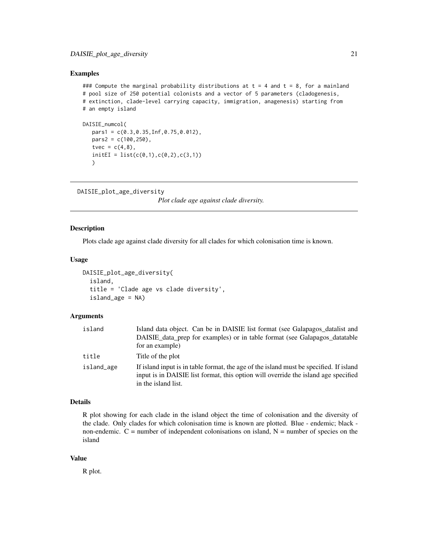#### <span id="page-20-0"></span>Examples

```
### Compute the marginal probability distributions at t = 4 and t = 8, for a mainland
# pool size of 250 potential colonists and a vector of 5 parameters (cladogenesis,
# extinction, clade-level carrying capacity, immigration, anagenesis) starting from
# an empty island
DAISIE_numcol(
```

```
pars1 = c(0.3,0.35,Inf,0.75,0.012),
pars2 = c(100, 250),
tvec = c(4,8),
initEI = list(c(0,1), c(0,2), c(3,1))\lambda
```

```
DAISIE_plot_age_diversity
```
*Plot clade age against clade diversity.*

#### Description

Plots clade age against clade diversity for all clades for which colonisation time is known.

#### Usage

```
DAISIE_plot_age_diversity(
  island,
  title = 'Clade age vs clade diversity',
  island_age = NA)
```
#### Arguments

| island     | Island data object. Can be in DAISIE list format (see Galapagos_datalist and                                                                                                                        |
|------------|-----------------------------------------------------------------------------------------------------------------------------------------------------------------------------------------------------|
|            | DAISIE data prep for examples) or in table format (see Galapagos datatable                                                                                                                          |
|            | for an example)                                                                                                                                                                                     |
| title      | Title of the plot                                                                                                                                                                                   |
| island_age | If island input is in table format, the age of the island must be specified. If island<br>input is in DAISIE list format, this option will override the island age specified<br>in the island list. |

#### Details

R plot showing for each clade in the island object the time of colonisation and the diversity of the clade. Only clades for which colonisation time is known are plotted. Blue - endemic; black non-endemic.  $C =$  number of independent colonisations on island,  $N =$  number of species on the island

# Value

R plot.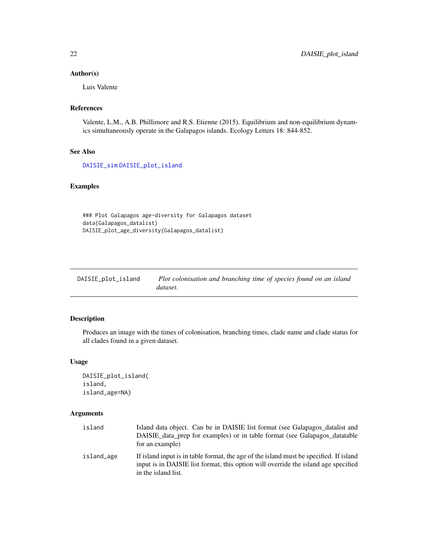# <span id="page-21-0"></span>Author(s)

Luis Valente

# References

Valente, L.M., A.B. Phillimore and R.S. Etienne (2015). Equilibrium and non-equilibrium dynamics simultaneously operate in the Galapagos islands. Ecology Letters 18: 844-852.

# See Also

[DAISIE\\_sim](#page-25-1) [DAISIE\\_plot\\_island](#page-21-1)

# Examples

### Plot Galapagos age-diversity for Galapagos dataset data(Galapagos\_datalist) DAISIE\_plot\_age\_diversity(Galapagos\_datalist)

<span id="page-21-1"></span>

| DAISIE_plot_island | Plot colonisation and branching time of species found on an island |  |
|--------------------|--------------------------------------------------------------------|--|
|                    | dataset.                                                           |  |

# Description

Produces an image with the times of colonisation, branching times, clade name and clade status for all clades found in a given dataset.

# Usage

```
DAISIE_plot_island(
island,
island_age=NA)
```
# Arguments

| island     | Island data object. Can be in DAISIE list format (see Galapagos_datalist and<br>DAISIE data prep for examples) or in table format (see Galapagos data table<br>for an example)                      |
|------------|-----------------------------------------------------------------------------------------------------------------------------------------------------------------------------------------------------|
| island_age | If island input is in table format, the age of the island must be specified. If island<br>input is in DAISIE list format, this option will override the island age specified<br>in the island list. |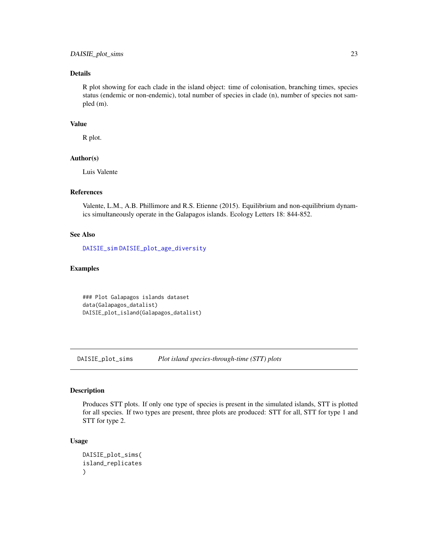# <span id="page-22-0"></span>Details

R plot showing for each clade in the island object: time of colonisation, branching times, species status (endemic or non-endemic), total number of species in clade (n), number of species not sampled (m).

# Value

R plot.

# Author(s)

Luis Valente

# References

Valente, L.M., A.B. Phillimore and R.S. Etienne (2015). Equilibrium and non-equilibrium dynamics simultaneously operate in the Galapagos islands. Ecology Letters 18: 844-852.

# See Also

[DAISIE\\_sim](#page-25-1) [DAISIE\\_plot\\_age\\_diversity](#page-20-1)

#### Examples

### Plot Galapagos islands dataset data(Galapagos\_datalist) DAISIE\_plot\_island(Galapagos\_datalist)

<span id="page-22-1"></span>DAISIE\_plot\_sims *Plot island species-through-time (STT) plots*

#### Description

Produces STT plots. If only one type of species is present in the simulated islands, STT is plotted for all species. If two types are present, three plots are produced: STT for all, STT for type 1 and STT for type 2.

# Usage

```
DAISIE_plot_sims(
island_replicates
)
```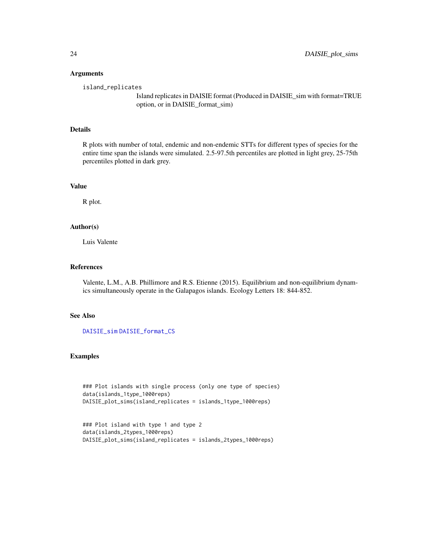#### Arguments

island\_replicates

Island replicates in DAISIE format (Produced in DAISIE\_sim with format=TRUE option, or in DAISIE\_format\_sim)

#### Details

R plots with number of total, endemic and non-endemic STTs for different types of species for the entire time span the islands were simulated. 2.5-97.5th percentiles are plotted in light grey, 25-75th percentiles plotted in dark grey.

#### Value

R plot.

# Author(s)

Luis Valente

#### References

Valente, L.M., A.B. Phillimore and R.S. Etienne (2015). Equilibrium and non-equilibrium dynamics simultaneously operate in the Galapagos islands. Ecology Letters 18: 844-852.

# See Also

[DAISIE\\_sim](#page-25-1) [DAISIE\\_format\\_CS](#page-0-0)

#### Examples

```
### Plot islands with single process (only one type of species)
data(islands_1type_1000reps)
DAISIE_plot_sims(island_replicates = islands_1type_1000reps)
```

```
### Plot island with type 1 and type 2
data(islands_2types_1000reps)
DAISIE_plot_sims(island_replicates = islands_2types_1000reps)
```
<span id="page-23-0"></span>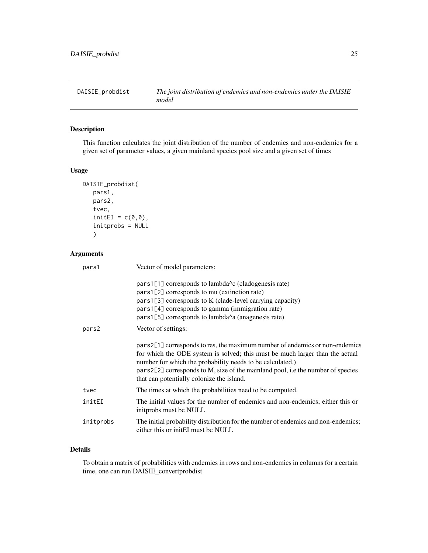<span id="page-24-0"></span>

# Description

This function calculates the joint distribution of the number of endemics and non-endemics for a given set of parameter values, a given mainland species pool size and a given set of times

# Usage

```
DAISIE_probdist(
   pars1,
   pars2,
   tvec,
   initEI = c(0,0),
   initprobs = NULL
   \mathcal{L}
```
# Arguments

| pars1     | Vector of model parameters:                                                                                                                                                                                                                                                                                                                               |
|-----------|-----------------------------------------------------------------------------------------------------------------------------------------------------------------------------------------------------------------------------------------------------------------------------------------------------------------------------------------------------------|
|           | pars1[1] corresponds to lambda <sup><math>\lambda</math></sup> c (cladogenesis rate)<br>pars1[2] corresponds to mu (extinction rate)<br>$pars1[3]$ corresponds to K (clade-level carrying capacity)<br>pars1[4] corresponds to gamma (immigration rate)<br>pars1[5] corresponds to lambda <sup><math>\lambda</math></sup> a (anagenesis rate)             |
| pars2     | Vector of settings:                                                                                                                                                                                                                                                                                                                                       |
|           | pars2[1] corresponds to res, the maximum number of endemics or non-endemics<br>for which the ODE system is solved; this must be much larger than the actual<br>number for which the probability needs to be calculated.)<br>pars 2[2] corresponds to M, size of the mainland pool, i.e the number of species<br>that can potentially colonize the island. |
| tvec      | The times at which the probabilities need to be computed.                                                                                                                                                                                                                                                                                                 |
| initEI    | The initial values for the number of endemics and non-endemics; either this or<br>initprobs must be NULL                                                                                                                                                                                                                                                  |
| initprobs | The initial probability distribution for the number of endemics and non-endemics;<br>either this or initel must be NULL                                                                                                                                                                                                                                   |

# Details

To obtain a matrix of probabilities with endemics in rows and non-endemics in columns for a certain time, one can run DAISIE\_convertprobdist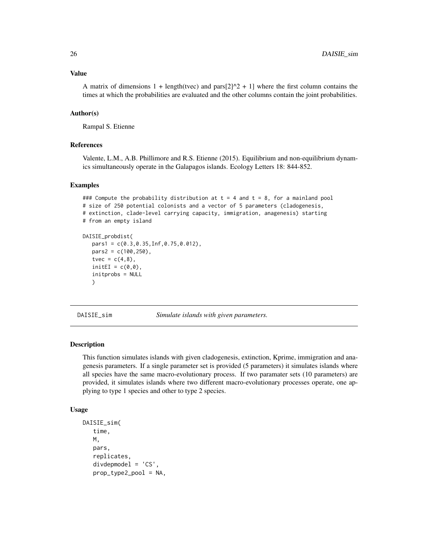#### <span id="page-25-0"></span>Value

A matrix of dimensions  $1 + \text{length}(t \text{vec})$  and  $\text{pars}[2]\hat{ }2 + 1]$  where the first column contains the times at which the probabilities are evaluated and the other columns contain the joint probabilities.

#### Author(s)

Rampal S. Etienne

### References

Valente, L.M., A.B. Phillimore and R.S. Etienne (2015). Equilibrium and non-equilibrium dynamics simultaneously operate in the Galapagos islands. Ecology Letters 18: 844-852.

#### Examples

```
### Compute the probability distribution at t = 4 and t = 8, for a mainland pool
# size of 250 potential colonists and a vector of 5 parameters (cladogenesis,
# extinction, clade-level carrying capacity, immigration, anagenesis) starting
# from an empty island
DAISIE_probdist(
  parts1 = c(0.3, 0.35, Inf, 0.75, 0.012),
  pars2 = c(100, 250),tvec = c(4,8),
  initEI = c(0,0),
  initprobs = NULL
  )
```
<span id="page-25-1"></span>DAISIE\_sim *Simulate islands with given parameters.*

#### Description

This function simulates islands with given cladogenesis, extinction, Kprime, immigration and anagenesis parameters. If a single parameter set is provided (5 parameters) it simulates islands where all species have the same macro-evolutionary process. If two paramater sets (10 parameters) are provided, it simulates islands where two different macro-evolutionary processes operate, one applying to type 1 species and other to type 2 species.

#### Usage

```
DAISIE_sim(
   time,
   M,
   pars,
   replicates,
   divdepmodel = 'CS',
   prop_type2_pool = NA,
```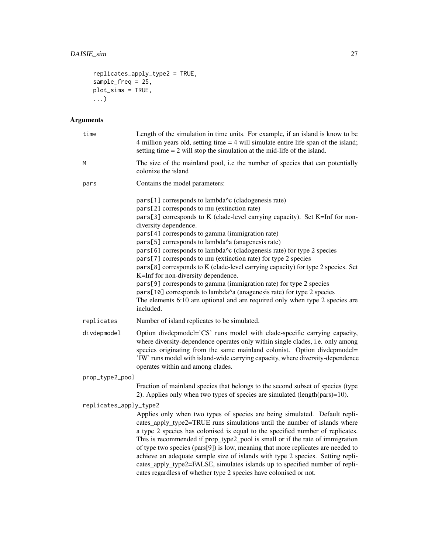```
replicates_apply_type2 = TRUE,
sample_freq = 25,
plot_sims = TRUE,...)
```
# Arguments

| time                   | Length of the simulation in time units. For example, if an island is know to be<br>4 million years old, setting time $=$ 4 will simulate entire life span of the island;<br>setting time $= 2$ will stop the simulation at the mid-life of the island.                                                                                                                                                                                                                                                                                                                                                                                                                                                                                                                                                                                 |  |
|------------------------|----------------------------------------------------------------------------------------------------------------------------------------------------------------------------------------------------------------------------------------------------------------------------------------------------------------------------------------------------------------------------------------------------------------------------------------------------------------------------------------------------------------------------------------------------------------------------------------------------------------------------------------------------------------------------------------------------------------------------------------------------------------------------------------------------------------------------------------|--|
| M                      | The size of the mainland pool, i.e the number of species that can potentially<br>colonize the island                                                                                                                                                                                                                                                                                                                                                                                                                                                                                                                                                                                                                                                                                                                                   |  |
| pars                   | Contains the model parameters:                                                                                                                                                                                                                                                                                                                                                                                                                                                                                                                                                                                                                                                                                                                                                                                                         |  |
|                        | pars[1] corresponds to lambda^c (cladogenesis rate)<br>pars[2] corresponds to mu (extinction rate)<br>pars[3] corresponds to K (clade-level carrying capacity). Set K=Inf for non-<br>diversity dependence.<br>pars[4] corresponds to gamma (immigration rate)<br>pars[5] corresponds to lambda^a (anagenesis rate)<br>pars[6] corresponds to lambda^c (cladogenesis rate) for type 2 species<br>pars[7] corresponds to mu (extinction rate) for type 2 species<br>pars[8] corresponds to K (clade-level carrying capacity) for type 2 species. Set<br>K=Inf for non-diversity dependence.<br>pars[9] corresponds to gamma (immigration rate) for type 2 species<br>pars[10] corresponds to lambda^a (anagenesis rate) for type 2 species<br>The elements 6:10 are optional and are required only when type 2 species are<br>included. |  |
| replicates             | Number of island replicates to be simulated.                                                                                                                                                                                                                                                                                                                                                                                                                                                                                                                                                                                                                                                                                                                                                                                           |  |
| divdepmodel            | Option divdepmodel='CS' runs model with clade-specific carrying capacity,<br>where diversity-dependence operates only within single clades, i.e. only among<br>species originating from the same mainland colonist. Option divdepmodel=<br>'IW' runs model with island-wide carrying capacity, where diversity-dependence<br>operates within and among clades.                                                                                                                                                                                                                                                                                                                                                                                                                                                                         |  |
| prop_type2_pool        |                                                                                                                                                                                                                                                                                                                                                                                                                                                                                                                                                                                                                                                                                                                                                                                                                                        |  |
|                        | Fraction of mainland species that belongs to the second subset of species (type<br>2). Applies only when two types of species are simulated (length(pars)=10).                                                                                                                                                                                                                                                                                                                                                                                                                                                                                                                                                                                                                                                                         |  |
| replicates_apply_type2 |                                                                                                                                                                                                                                                                                                                                                                                                                                                                                                                                                                                                                                                                                                                                                                                                                                        |  |
|                        | Applies only when two types of species are being simulated. Default repli-<br>cates_apply_type2=TRUE runs simulations until the number of islands where<br>a type 2 species has colonised is equal to the specified number of replicates.<br>This is recommended if prop_type2_pool is small or if the rate of immigration<br>of type two species (pars[9]) is low, meaning that more replicates are needed to<br>achieve an adequate sample size of islands with type 2 species. Setting repli-<br>cates_apply_type2=FALSE, simulates islands up to specified number of repli-<br>cates regardless of whether type 2 species have colonised or not.                                                                                                                                                                                   |  |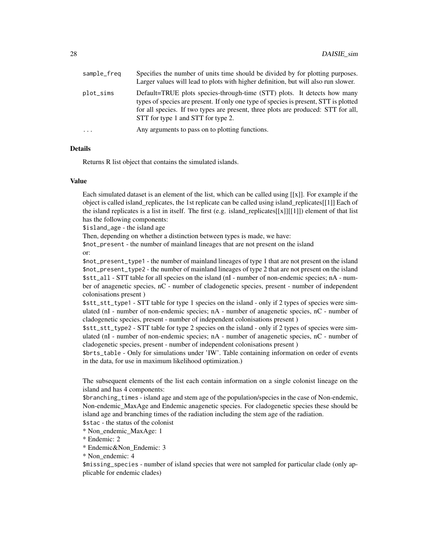| sample_freq | Specifies the number of units time should be divided by for plotting purposes.<br>Larger values will lead to plots with higher definition, but will also run slower.                                                                                                                        |
|-------------|---------------------------------------------------------------------------------------------------------------------------------------------------------------------------------------------------------------------------------------------------------------------------------------------|
| plot_sims   | Default=TRUE plots species-through-time (STT) plots. It detects how many<br>types of species are present. If only one type of species is present, STT is plotted<br>for all species. If two types are present, three plots are produced: STT for all,<br>STT for type 1 and STT for type 2. |
| $\cdots$    | Any arguments to pass on to plotting functions.                                                                                                                                                                                                                                             |

#### Details

Returns R list object that contains the simulated islands.

# Value

Each simulated dataset is an element of the list, which can be called using  $[[x]]$ . For example if the object is called island replicates, the 1st replicate can be called using island replicates[[1]] Each of the island replicates is a list in itself. The first (e.g. island\_replicates[[x]][[1]]) element of that list has the following components:

\$island\_age - the island age

Then, depending on whether a distinction between types is made, we have:

\$not\_present - the number of mainland lineages that are not present on the island or:

\$not\_present\_type1 - the number of mainland lineages of type 1 that are not present on the island \$not\_present\_type2 - the number of mainland lineages of type 2 that are not present on the island \$stt\_all - STT table for all species on the island (nI - number of non-endemic species; nA - number of anagenetic species, nC - number of cladogenetic species, present - number of independent colonisations present )

\$stt\_stt\_type1 - STT table for type 1 species on the island - only if 2 types of species were simulated (nI - number of non-endemic species; nA - number of anagenetic species, nC - number of cladogenetic species, present - number of independent colonisations present )

\$stt\_stt\_type2 - STT table for type 2 species on the island - only if 2 types of species were simulated (nI - number of non-endemic species; nA - number of anagenetic species, nC - number of cladogenetic species, present - number of independent colonisations present )

\$brts\_table - Only for simulations under 'IW'. Table containing information on order of events in the data, for use in maximum likelihood optimization.)

The subsequent elements of the list each contain information on a single colonist lineage on the island and has 4 components:

\$branching\_times - island age and stem age of the population/species in the case of Non-endemic, Non-endemic\_MaxAge and Endemic anagenetic species. For cladogenetic species these should be island age and branching times of the radiation including the stem age of the radiation. \$stac - the status of the colonist

\* Non\_endemic\_MaxAge: 1

\* Endemic: 2

\* Endemic&Non\_Endemic: 3

\* Non\_endemic: 4

\$missing\_species - number of island species that were not sampled for particular clade (only applicable for endemic clades)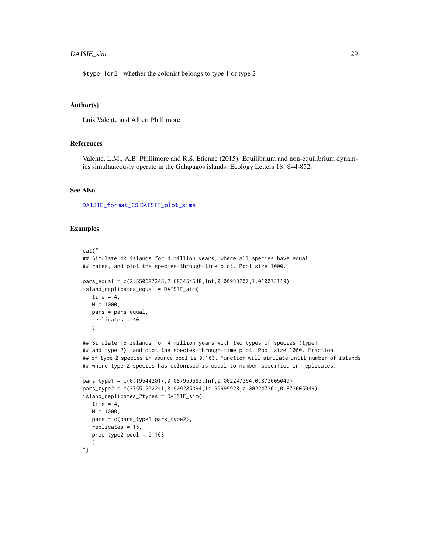# <span id="page-28-0"></span>DAISIE\_sim 29

\$type\_1or2 - whether the colonist belongs to type 1 or type 2

#### Author(s)

Luis Valente and Albert Phillimore

#### References

Valente, L.M., A.B. Phillimore and R.S. Etienne (2015). Equilibrium and non-equilibrium dynamics simultaneously operate in the Galapagos islands. Ecology Letters 18: 844-852.

#### See Also

[DAISIE\\_format\\_CS](#page-0-0) [DAISIE\\_plot\\_sims](#page-22-1)

#### Examples

```
cat("
## Simulate 40 islands for 4 million years, where all species have equal
## rates, and plot the species-through-time plot. Pool size 1000.
pars_equal = c(2.550687345,2.683454548,Inf,0.00933207,1.010073119)
island_replicates_equal = DAISIE_sim(
  time = 4,
  M = 1000,
   pars = pars_equal,
   replicates = 40
   )
## Simulate 15 islands for 4 million years with two types of species (type1
## and type 2), and plot the species-through-time plot. Pool size 1000. Fraction
## of type 2 species in source pool is 0.163. Function will simulate until number of islands
## where type 2 species has colonised is equal to number specified in replicates.
pars_type1 = c(0.195442017,0.087959583,Inf,0.002247364,0.873605049)
pars_type2 = c(3755.202241,8.909285094,14.99999923,0.002247364,0.873605049)
island_replicates_2types = DAISIE_sim(
   time = 4,
  M = 1000,
  pars = c(pars_type1,pars_type2),
  replicates = 15,
   prop_type2_pool = 0.163
   )
")
```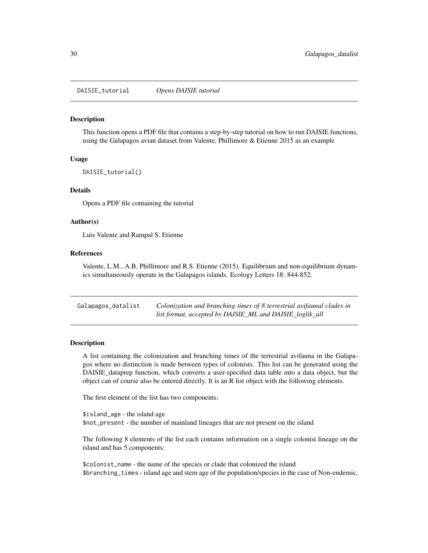<span id="page-29-0"></span>DAISIE\_tutorial *Opens DAISIE tutorial*

#### Description

This function opens a PDF file that contains a step-by-step tutorial on how to run DAISIE functions, using the Galapagos avian dataset from Valente, Phillimore & Etienne 2015 as an example

#### Usage

DAISIE\_tutorial()

#### Details

Opens a PDF file containing the tutorial

#### Author(s)

Luis Valente and Rampal S. Etienne

# References

Valente, L.M., A.B. Phillimore and R.S. Etienne (2015). Equilibrium and non-equilibrium dynamics simultaneously operate in the Galapagos islands. Ecology Letters 18: 844-852.

| Galapagos_datalist | Colonization and branching times of 8 terrestrial avifaunal clades in |
|--------------------|-----------------------------------------------------------------------|
|                    | list format, accepted by DAISIE_ML and DAISIE_loglik_all              |

#### **Description**

A list containing the colonization and branching times of the terrestrial avifauna in the Galapagos where no distinction is made between types of colonists. This list can be generated using the DAISIE\_dataprep function, which converts a user-specified data table into a data object, but the object can of course also be entered directly. It is an R list object with the following elements.

The first element of the list has two components:

\$island\_age - the island age \$not\_present - the number of mainland lineages that are not present on the island

The following 8 elements of the list each contains information on a single colonist lineage on the island and has 5 components:

\$colonist\_name - the name of the species or clade that colonized the island \$branching\_times - island age and stem age of the population/species in the case of Non-endemic,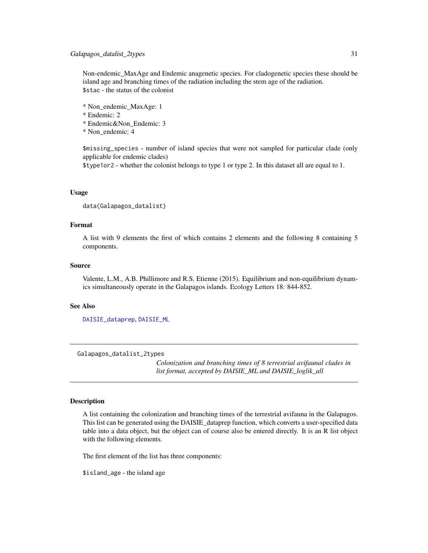<span id="page-30-0"></span>Non-endemic\_MaxAge and Endemic anagenetic species. For cladogenetic species these should be island age and branching times of the radiation including the stem age of the radiation. \$stac - the status of the colonist

\* Non\_endemic\_MaxAge: 1

\* Endemic: 2

\* Endemic&Non\_Endemic: 3

\* Non\_endemic: 4

\$missing\_species - number of island species that were not sampled for particular clade (only applicable for endemic clades)

\$type1or2 - whether the colonist belongs to type 1 or type 2. In this dataset all are equal to 1.

### Usage

```
data(Galapagos_datalist)
```
#### Format

A list with 9 elements the first of which contains 2 elements and the following 8 containing 5 components.

#### Source

Valente, L.M., A.B. Phillimore and R.S. Etienne (2015). Equilibrium and non-equilibrium dynamics simultaneously operate in the Galapagos islands. Ecology Letters 18: 844-852.

#### See Also

[DAISIE\\_dataprep](#page-3-1), [DAISIE\\_ML](#page-12-1)

Galapagos\_datalist\_2types

*Colonization and branching times of 8 terrestrial avifaunal clades in list format, accepted by DAISIE\_ML and DAISIE\_loglik\_all*

#### Description

A list containing the colonization and branching times of the terrestrial avifauna in the Galapagos. This list can be generated using the DAISIE\_dataprep function, which converts a user-specified data table into a data object, but the object can of course also be entered directly. It is an R list object with the following elements.

The first element of the list has three components:

\$island\_age - the island age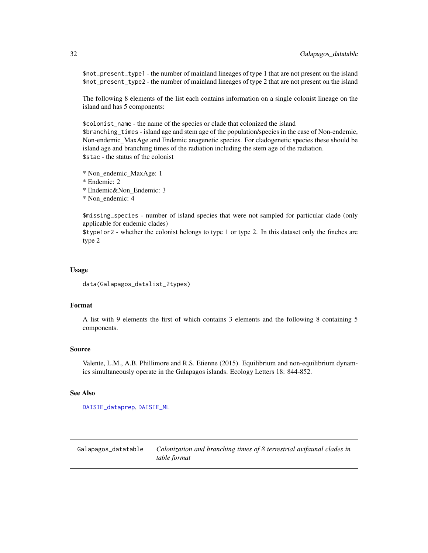\$not\_present\_type1 - the number of mainland lineages of type 1 that are not present on the island \$not\_present\_type2 - the number of mainland lineages of type 2 that are not present on the island

The following 8 elements of the list each contains information on a single colonist lineage on the island and has 5 components:

\$colonist\_name - the name of the species or clade that colonized the island \$branching\_times - island age and stem age of the population/species in the case of Non-endemic, Non-endemic\_MaxAge and Endemic anagenetic species. For cladogenetic species these should be island age and branching times of the radiation including the stem age of the radiation. \$stac - the status of the colonist

\* Non\_endemic\_MaxAge: 1

\* Endemic: 2

\* Endemic&Non\_Endemic: 3

\* Non\_endemic: 4

\$missing\_species - number of island species that were not sampled for particular clade (only applicable for endemic clades)

\$type1or2 - whether the colonist belongs to type 1 or type 2. In this dataset only the finches are type 2

#### Usage

data(Galapagos\_datalist\_2types)

#### Format

A list with 9 elements the first of which contains 3 elements and the following 8 containing 5 components.

# Source

Valente, L.M., A.B. Phillimore and R.S. Etienne (2015). Equilibrium and non-equilibrium dynamics simultaneously operate in the Galapagos islands. Ecology Letters 18: 844-852.

#### See Also

[DAISIE\\_dataprep](#page-3-1), [DAISIE\\_ML](#page-12-1)

Galapagos\_datatable *Colonization and branching times of 8 terrestrial avifaunal clades in table format*

<span id="page-31-0"></span>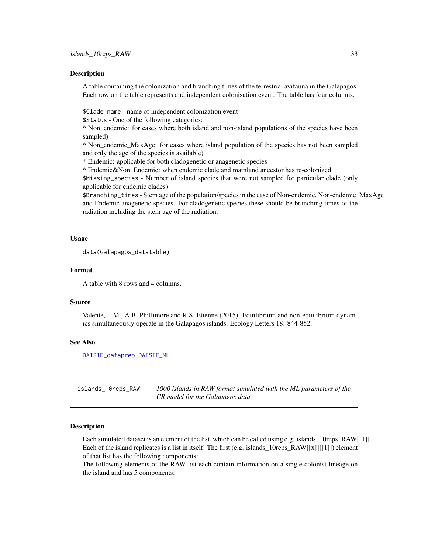#### <span id="page-32-0"></span>Description

A table containing the colonization and branching times of the terrestrial avifauna in the Galapagos. Each row on the table represents and independent colonisation event. The table has four columns.

\$Clade\_name - name of independent colonization event

\$Status - One of the following categories:

\* Non\_endemic: for cases where both island and non-island populations of the species have been sampled)

\* Non\_endemic\_MaxAge: for cases where island population of the species has not been sampled and only the age of the species is available)

\* Endemic: applicable for both cladogenetic or anagenetic species

\* Endemic&Non\_Endemic: when endemic clade and mainland ancestor has re-colonized \$Missing\_species - Number of island species that were not sampled for particular clade (only applicable for endemic clades)

\$Branching\_times - Stem age of the population/species in the case of Non-endemic, Non-endemic\_MaxAge and Endemic anagenetic species. For cladogenetic species these should be branching times of the radiation including the stem age of the radiation.

#### Usage

```
data(Galapagos_datatable)
```
#### Format

A table with 8 rows and 4 columns.

#### Source

Valente, L.M., A.B. Phillimore and R.S. Etienne (2015). Equilibrium and non-equilibrium dynamics simultaneously operate in the Galapagos islands. Ecology Letters 18: 844-852.

#### See Also

[DAISIE\\_dataprep](#page-3-1), [DAISIE\\_ML](#page-12-1)

islands\_10reps\_RAW *1000 islands in RAW format simulated with the ML parameters of the CR model for the Galapagos data*

#### Description

Each simulated dataset is an element of the list, which can be called using e.g. islands\_10reps\_RAW[[1]] Each of the island replicates is a list in itself. The first (e.g. islands  $10$ reps  $RAW[[x]][[1]])$ ) element of that list has the following components:

The following elements of the RAW list each contain information on a single colonist lineage on the island and has 5 components: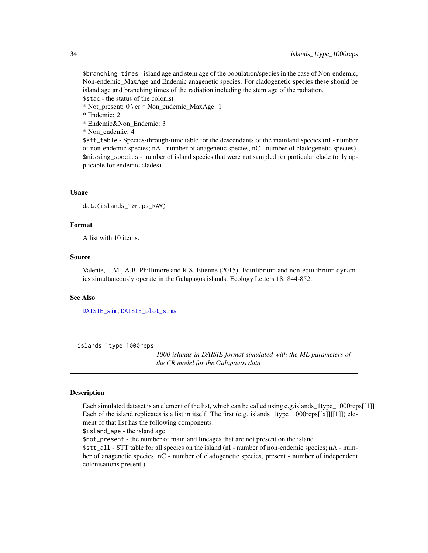\$branching\_times - island age and stem age of the population/species in the case of Non-endemic, Non-endemic\_MaxAge and Endemic anagenetic species. For cladogenetic species these should be island age and branching times of the radiation including the stem age of the radiation. \$stac - the status of the colonist

\* Not\_present: 0 \ cr \* Non\_endemic\_MaxAge: 1

\* Endemic: 2

\* Endemic&Non\_Endemic: 3

\* Non\_endemic: 4

\$stt\_table - Species-through-time table for the descendants of the mainland species (nI - number of non-endemic species; nA - number of anagenetic species, nC - number of cladogenetic species) \$missing\_species - number of island species that were not sampled for particular clade (only applicable for endemic clades)

### Usage

```
data(islands_10reps_RAW)
```
#### Format

A list with 10 items.

# Source

Valente, L.M., A.B. Phillimore and R.S. Etienne (2015). Equilibrium and non-equilibrium dynamics simultaneously operate in the Galapagos islands. Ecology Letters 18: 844-852.

#### See Also

[DAISIE\\_sim](#page-25-1), [DAISIE\\_plot\\_sims](#page-22-1)

islands\_1type\_1000reps

*1000 islands in DAISIE format simulated with the ML parameters of the CR model for the Galapagos data*

#### **Description**

Each simulated dataset is an element of the list, which can be called using e.g.islands\_1type\_1000reps[[1]] Each of the island replicates is a list in itself. The first (e.g. islands\_1type\_1000reps[[x]][[1]]) element of that list has the following components:

\$island\_age - the island age

\$not\_present - the number of mainland lineages that are not present on the island \$stt\_all - STT table for all species on the island (nI - number of non-endemic species; nA - number of anagenetic species, nC - number of cladogenetic species, present - number of independent colonisations present )

<span id="page-33-0"></span>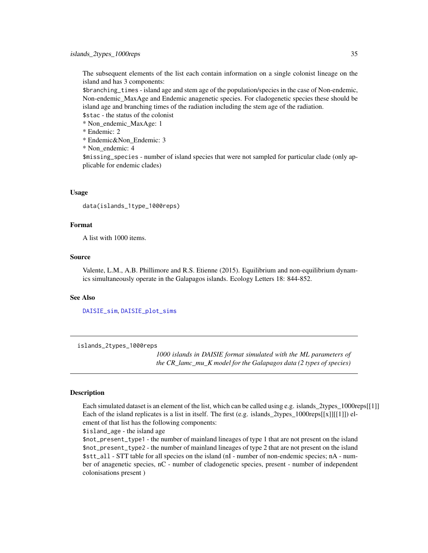<span id="page-34-0"></span>The subsequent elements of the list each contain information on a single colonist lineage on the island and has 3 components:

\$branching\_times - island age and stem age of the population/species in the case of Non-endemic, Non-endemic\_MaxAge and Endemic anagenetic species. For cladogenetic species these should be island age and branching times of the radiation including the stem age of the radiation.

\$stac - the status of the colonist

\* Non\_endemic\_MaxAge: 1

\* Endemic: 2

\* Endemic&Non\_Endemic: 3

\* Non\_endemic: 4

\$missing\_species - number of island species that were not sampled for particular clade (only applicable for endemic clades)

#### Usage

data(islands\_1type\_1000reps)

#### Format

A list with 1000 items.

# Source

Valente, L.M., A.B. Phillimore and R.S. Etienne (2015). Equilibrium and non-equilibrium dynamics simultaneously operate in the Galapagos islands. Ecology Letters 18: 844-852.

#### See Also

[DAISIE\\_sim](#page-25-1), [DAISIE\\_plot\\_sims](#page-22-1)

islands\_2types\_1000reps

*1000 islands in DAISIE format simulated with the ML parameters of the CR\_lamc\_mu\_K model for the Galapagos data (2 types of species)*

#### **Description**

Each simulated dataset is an element of the list, which can be called using e.g. islands\_2types\_1000reps[[1]] Each of the island replicates is a list in itself. The first (e.g. islands\_2types\_1000reps[[x]][[1]]) element of that list has the following components:

\$island\_age - the island age

\$not\_present\_type1 - the number of mainland lineages of type 1 that are not present on the island \$not\_present\_type2 - the number of mainland lineages of type 2 that are not present on the island \$stt\_all - STT table for all species on the island (nI - number of non-endemic species; nA - number of anagenetic species, nC - number of cladogenetic species, present - number of independent colonisations present )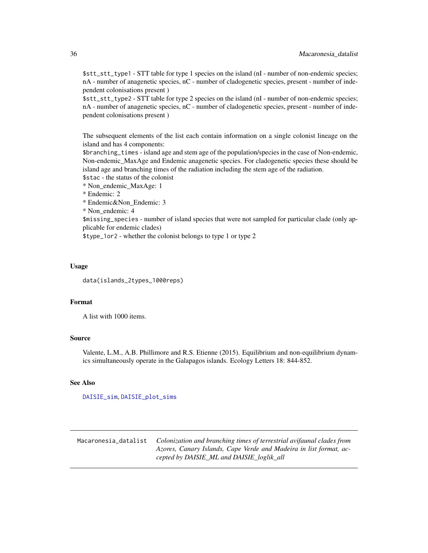\$stt\_stt\_type1 - STT table for type 1 species on the island (nI - number of non-endemic species; nA - number of anagenetic species, nC - number of cladogenetic species, present - number of independent colonisations present )

\$stt\_stt\_type2 - STT table for type 2 species on the island (nI - number of non-endemic species; nA - number of anagenetic species, nC - number of cladogenetic species, present - number of independent colonisations present )

The subsequent elements of the list each contain information on a single colonist lineage on the island and has 4 components:

\$branching\_times - island age and stem age of the population/species in the case of Non-endemic, Non-endemic\_MaxAge and Endemic anagenetic species. For cladogenetic species these should be island age and branching times of the radiation including the stem age of the radiation.

\$stac - the status of the colonist

\* Non\_endemic\_MaxAge: 1

\* Endemic: 2

\* Endemic&Non\_Endemic: 3

\* Non\_endemic: 4

\$missing\_species - number of island species that were not sampled for particular clade (only applicable for endemic clades)

\$type\_1or2 - whether the colonist belongs to type 1 or type 2

#### Usage

data(islands\_2types\_1000reps)

### Format

A list with 1000 items.

# Source

Valente, L.M., A.B. Phillimore and R.S. Etienne (2015). Equilibrium and non-equilibrium dynamics simultaneously operate in the Galapagos islands. Ecology Letters 18: 844-852.

#### See Also

[DAISIE\\_sim](#page-25-1), [DAISIE\\_plot\\_sims](#page-22-1)

Macaronesia\_datalist *Colonization and branching times of terrestrial avifaunal clades from Azores, Canary Islands, Cape Verde and Madeira in list format, accepted by DAISIE\_ML and DAISIE\_loglik\_all*

<span id="page-35-0"></span>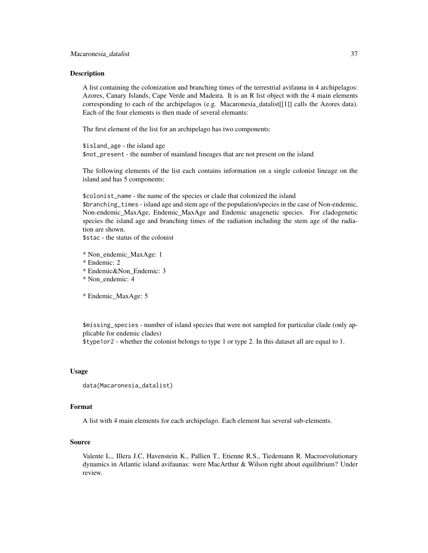#### Description

A list containing the colonization and branching times of the terrestrial avifauna in 4 archipelagos: Azores, Canary Islands, Cape Verde and Madeira. It is an R list object with the 4 main elements corresponding to each of the archipelagos (e.g. Macaronesia\_datalist[[1]] calls the Azores data). Each of the four elements is then made of several elemants:

The first element of the list for an archipelago has two components:

\$island\_age - the island age \$not\_present - the number of mainland lineages that are not present on the island

The following elements of the list each contains information on a single colonist lineage on the island and has 5 components:

\$colonist\_name - the name of the species or clade that colonized the island \$branching\_times - island age and stem age of the population/species in the case of Non-endemic, Non-endemic\_MaxAge, Endemic\_MaxAge and Endemic anagenetic species. For cladogenetic species the island age and branching times of the radiation including the stem age of the radiation are shown.

\$stac - the status of the colonist

\* Non\_endemic\_MaxAge: 1

- \* Endemic: 2
- \* Endemic&Non\_Endemic: 3
- \* Non\_endemic: 4

\* Endemic\_MaxAge: 5

\$missing\_species - number of island species that were not sampled for particular clade (only applicable for endemic clades)

\$type1or2 - whether the colonist belongs to type 1 or type 2. In this dataset all are equal to 1.

#### Usage

```
data(Macaronesia_datalist)
```
#### Format

A list with 4 main elements for each archipelago. Each element has several sub-elements.

#### Source

Valente L., Illera J.C, Havenstein K., Pallien T., Etienne R.S., Tiedemann R. Macroevolutionary dynamics in Atlantic island avifaunas: were MacArthur & Wilson right about equilibrium? Under review.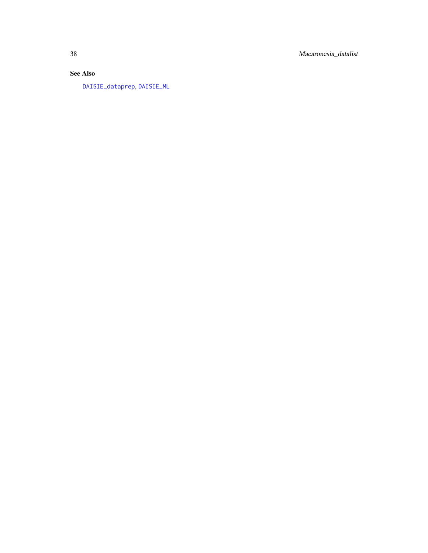<span id="page-37-0"></span>38 Macaronesia\_datalist

# See Also

[DAISIE\\_dataprep](#page-3-1), [DAISIE\\_ML](#page-12-1)